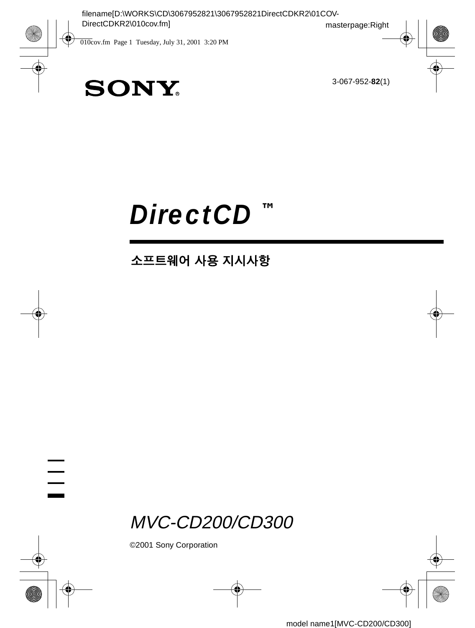3-067-952-**82**(1)

# **SONY**

# *DirectCD* **™**

### 소프트웨어 사용 지시사항

MVC-CD200/CD300

©2001 Sony Corporation

 $\frac{1}{1}$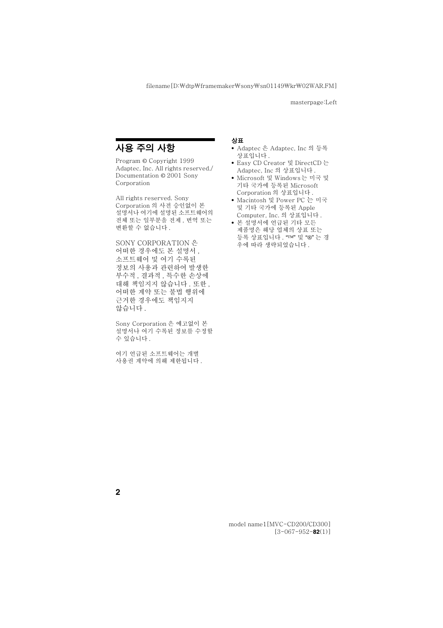### <span id="page-1-0"></span>사용 주의 사항

Program © Copyright 1999 Adaptec, Inc. All rights reserved./ Documentation © 2001 Sony Corporation

All rights reserved. Sony Corporation 의 사전 승인없이 본 설명서나 여기에 설명된 소프트웨어의 전체 또는 일부분을 전제, 번역 또는 변화할 수 없습니다.

SONY CORPORATION 은 어떠한 경우에도 본 설명서, 소프트웨어 및 여기 수록된 정보의 사용과 관련하여 발생한 부수적 결과적 특수한 손상에 대해 책임지지 않습니다. 또한. 어떠한 계약 또는 불법 행위에 근거한 경우에도 책임지지 않습니다.

Sony Corporation 은 예고없이 본 설명서나 여기 수록된 정보를 수정할 수 있습니다.

여기 언급된 소프트웨어는 개별 사용권 계약에 의해 제하됩니다.

#### 상표

- Adaptec 은 Adaptec, Inc 의 등록 상표입니다.
- Easy CD Creator 및 DirectCD 는 Adaptec, Inc 의 상표입니다.
- Microsoft 및 Windows는 미국 및 기타 국가에 등록된 Microsoft Corporation 의 상표입니다.
- Macintosh 및 Power PC 는 미국 및 기타 국가에 등록된 Apple Computer, Inc. 의 상표입니다.
- 본 설명서에 언급된 기타 모든 제품명은 해당 업체의 상표 또는 등록 상표입니다. "TM" 및 "®" 는 경 우에 따라 생략되었습니다.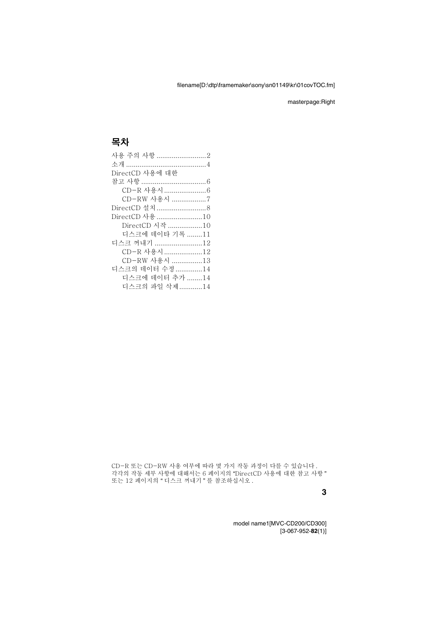### 목차

| DirectCD 사용에 대한 |  |
|-----------------|--|
|                 |  |
|                 |  |
| CD-RW 사용시 7     |  |
|                 |  |
| DirectCD 사용 10  |  |
| DirectCD 시작 10  |  |
| 디스크에 데이타 기록 11  |  |
| 디스크 꺼내기 12      |  |
| CD-R 사용시 12     |  |
| CD-RW 사용시 13    |  |
| 디스크의 데이터 수정 14  |  |
| 디스크에 데이터 추가 14  |  |
| 디스크의 파일 삭제 14   |  |

CD-R 또는 CD-RW 사용 여부에 따라 몇 가지 작동 과정이 다를 수 있습니다. 각각의 작동 세부 사항에 대해서는 6 페이지의 "DirectCD 사용에 대한 참고 사항 " 또는 12 페이지의 " 디스크 꺼내기 " 를 참조하십시오[.](#page-11-2)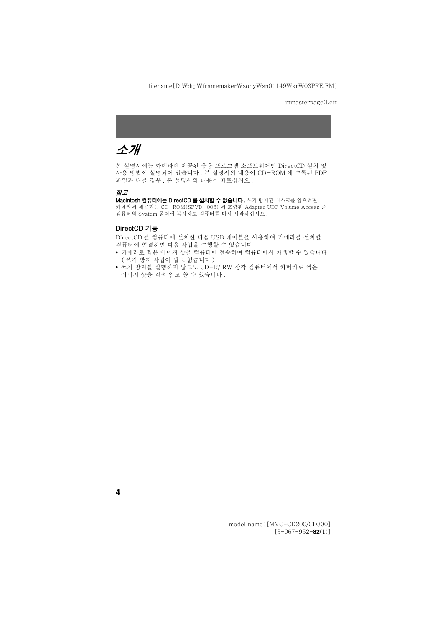### <span id="page-3-0"></span>소개

본 설명서에는 카메라에 제공된 응용 프로그램 소프트웨어인 DirectCD 설치 및 사용 방법이 설명되어 있습니다 . 본 설명서의 내용이 CD-ROM 에 수록된 PDF 파일과 다를 경우, 본 설명서의 내용을 따르십시오.

#### 참고

Macintosh 컴퓨터에는 DirectCD 를 설치할 수 없습니다. 쓰기 방치된 디스크를 읽으려면. 카메라에 제공되는 CD-ROM(SPVD-006) 에 포함된 Adaptec UDF Volume Access 를 컴퓨터의 System 폴더에 복사하고 컴퓨터를 다시 시작하십시오.

#### DirectCD 기능

DirectCD 를 컴퓨터에 설치한 다음 USB 케이블을 사용하여 카메라를 설치할 컴퓨터에 연결하면 다음 작업을 수행할 수 있습니다.

- 카메라로 찍은 이미지 샷을 컴퓨터에 전송하여 컴퓨터에서 재생할 수 있습니다. (쓰기 방지 작업이 필요 없습니다).
- 쓰기 방지를 실행하지 않고도 CD-R/ RW 장착 컴퓨터에서 카메라로 찍은 이미지 샷을 직접 읽고 쓸 수 있습니다.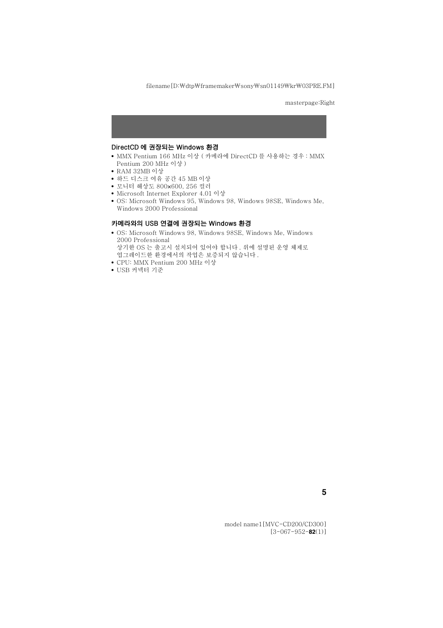#### DirectCD 에 권장되는 Windows 환경

- MMX Pentium 166 MHz 이상 ( 카메라에 DirectCD 를 사용하는 경우 : MMX Pentium 200 MHz 이상 )
- RAM 32MB 이상
- 하드 디스크 여유 공간 45 MB 이상
- 모니터 해상도 800x600, 256 컬러
- Microsoft Internet Explorer 4.01 이상
- OS: Microsoft Windows 95, Windows 98, Windows 98SE, Windows Me, Windows 2000 Professional

#### 카메라와의 USB 연결에 권장되는 Windows 환경

- OS: Microsoft Windows 98, Windows 98SE, Windows Me, Windows 2000 Professional 상기한 OS 는 출고시 설치되어 있어야 합니다. 위에 설명된 운영 체제로 업그레이드한 환경에서의 작업은 보증되지 않습니다.
- CPU: MMX Pentium 200 MHz 이상
- USB 커넥터 기주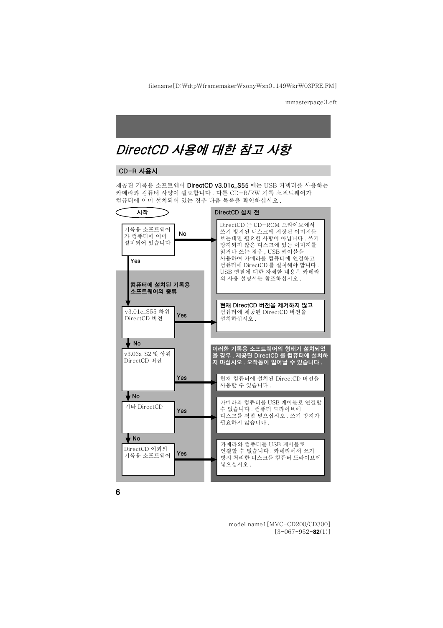### <span id="page-5-2"></span><span id="page-5-0"></span>DirectCD 사용에 대한 참고 사항

#### <span id="page-5-1"></span>CD-R 사용시

제공된 기록용 소프트웨어 DirectCD v3.01c\_S55 에는 USB 커넥터를 사용하는 카메라와 컴퓨터 사양이 필요합니다. 다른 CD-R/RW 기록 소프트웨어가 컴퓨터에 이미 설치되어 있는 경우 다음 목록을 확인하십시오.

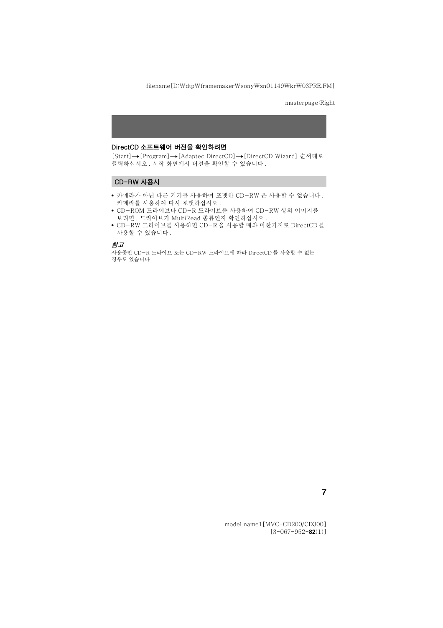#### DirectCD 소프트웨어 버전을 확인하려면

[Start]→[Program]→[Adaptec DirectCD]→[DirectCD Wizard] 수서대로 클릭하십시오. 시작 화면에서 버전을 확인할 수 있습니다.

#### <span id="page-6-0"></span>CD-RW 사용시

- 카메라가 아닌 다른 기기를 사용하여 포맷한 CD-RW 은 사용할 수 없습니다 . 카메라를 사용하여 다시 푸맨하십시오.
- CD-ROM 드라이브나 CD-R 드라이브를 사용하여 CD-RW 상의 이미지를 보려면, 드라이브가 MultiRead 종류인지 확인하십시오.
- CD-RW 드라이브를 사용하면 CD-R 을 사용할 때와 마찬가지로 DirectCD 를 사용할 수 있습니다.

#### 참고

사용중인 CD-R 드라이브 또는 CD-RW 드라이브에 따라 DirectCD 를 사용할 수 없는 경우도 있습니다.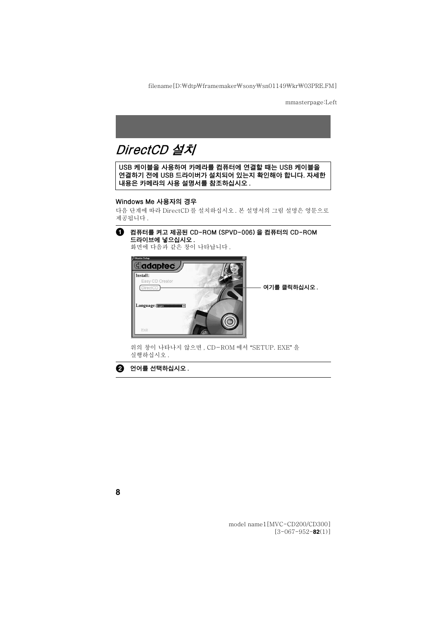### <span id="page-7-0"></span>DirectCD 설치

USB 케이블을 사용하여 카메라를 컴퓨터에 연결할 때는 USB 케이블을 연결하기 전에 USB 드라이버가 설치되어 있는지 확인해야 합니다. 자세한 내용은 카메라의 사용 설명서를 참조하십시오.

#### Windows Me 사용자의 경우

다음 단계에 따라 DirectCD 를 설치하십시오 . 본 설명서의 그림 설명은 영문으로 제공됩니다.

#### **4** 컴퓨터를 켜고 제공된 CD-ROM (SPVD-006)을 컴퓨터의 CD-ROM 드라이브에 넣으십시오.

화면에 다음과 같은 창이 나타납니다.



위의 창이 나타나지 않으면 . CD-ROM 에서 "SETUP. EXE" 을 실행하십시오.

 $\bullet$  언어를 선택하십시오.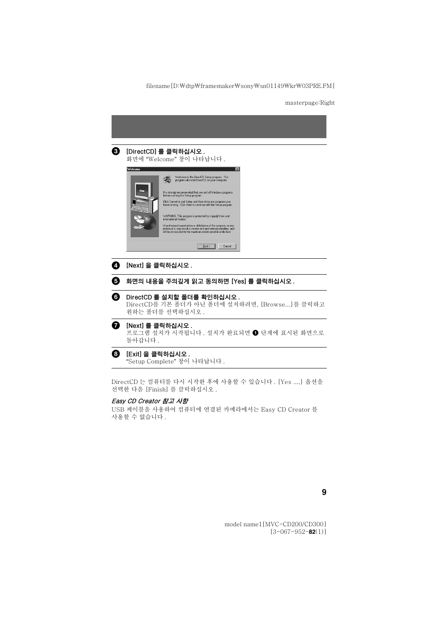

"Setup Complete" 창이 나타납니다.

DirectCD 는 컴퓨터를 다시 시작한 후에 사용할 수 있습니다 . [Yes ....] 옵션을 선택한 다음 [Finish] 를 클릭하십시오.

#### Easy CD Creator 참고 사항

USB 케이블을 사용하여 컴퓨터에 연결된 카메라에서는 Easy CD Creator 를 사용할 수 없습니다.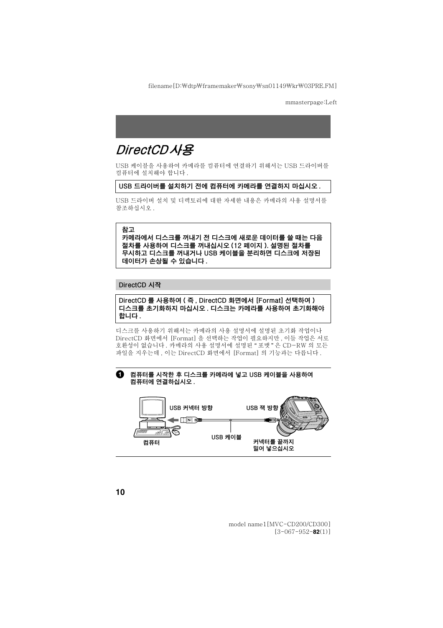### <span id="page-9-0"></span>DirectCD사용

USB 케이블을 사용하여 카메라를 컴퓨터에 연결하기 위해서는 USB 드라이버를 컴퓨터에 설치해야 합니다.

#### USB 드라이버를 설치하기 전에 컴퓨터에 카메라를 연결하지 마십시오 .

USB 드라이버 설치 및 디렉토리에 대한 자세한 내용은 카메라의 사용 설명서를 참조하십시오.

#### 참고

카메라에서 디스크를 꺼내기 전 디스크에 새로운 데이터를 쓸 때는 다음 절차를 사용하여 디스크를 꺼내십시오 (12 페이지 ). 설명된 절차를 무시하고 디스크를 꺼내거나 USB 케이블을 분리하면 디스크에 저장된 데이터가 손상될 수 있습니다 .

#### <span id="page-9-1"></span>DirectCD 시작

DirectCD 를 사용하여 (즉 . DirectCD 화면에서 [Format] 선택하여 ) 디스크를 초기화하지 마십시오 . 디스크는 카메라를 사용하여 초기화해야 합니다.

디스크를 사용하기 위해서는 카메라의 사용 설명서에 설명된 초기화 작업이나 DirectCD 화면에서 [Format] 을 선택하는 작업이 필요하지만 . 이들 작업은 서로 호환성이 없습니다 . 카메라의 사용 설명서에 설명된 " 포맷 "은 CD-RW 의 모든 파잌을 지우는데 \_이는 DirectCD 화면에서 [Format] 의 기능과는 다릅니다 .

#### **4** 컴퓨터를 시작한 후 디스크를 카메라에 넣고 USB 케이블을 사용하여 컴퓨터에 연결하십시오.

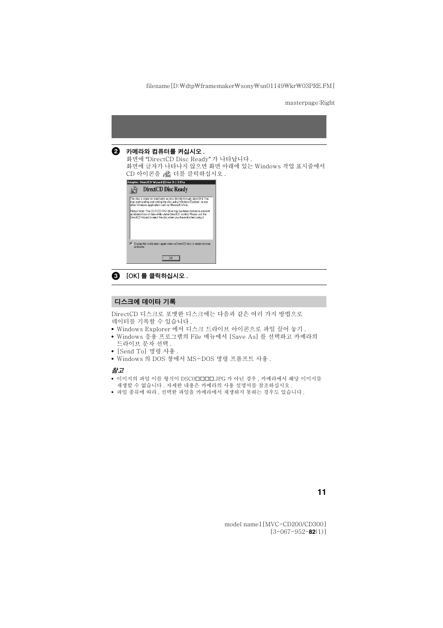#### $\boldsymbol{Q}$  카메라와 컴퓨터를 켜십시오.

화면에 "DirectCD Disc Ready" 가 나타납니다. 화면에 글자가 나타나지 않으면 화면 아래에 있는 Windows 작업 표시줄에서 CD 아이콘을 - ® 더블 클릭하십시오.





#### <span id="page-10-0"></span>디스크에 데이타 기록

DirectCD 디스크로 포맷한 디스크에는 다음과 같은 여러 가지 방법으로 데이터를 기록할 수 있습니다.

- Windows Explorer 에서 디스크 드라이브 아이콘으로 파일 끌어 놓기.
- Windows 응용 프로그램의 File 메뉴에서 [Save As] 를 서택하고 카메라의 ㄷ라이ㅂ 문자 서택
- [Send Tol 명령 사용 .
- Windows 의 DOS 창에서 MS-DOS 명령 프롬프트 사용.

#### 참고

- 이미지의 파일 이름 형식이 DSC0□□□□□ JPG 가 아닌 경우 . 카메라에서 해당 이미지를 재생할 수 없습니다. 자세한 내용은 카메라의 사용 설명서를 참조하십시오.
- 파일 종류에 따라, 서택한 파일을 카메라에서 재생하지 못하는 경우도 있습니다.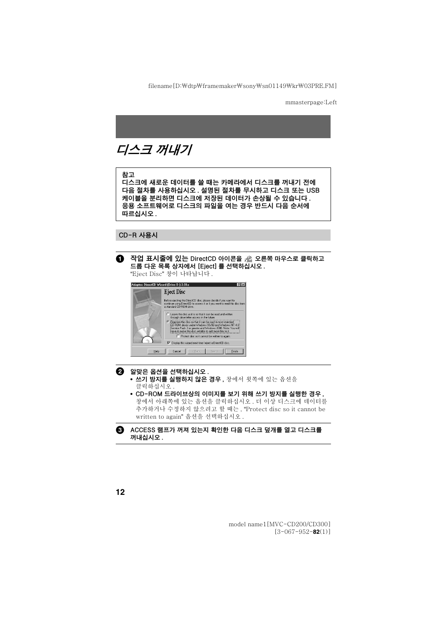## <span id="page-11-2"></span><span id="page-11-0"></span>디스크 꺼내기

#### 참고

디스크에 새로운 데이터를 쓸 때는 카메라에서 디스크를 꺼내기 전에 다음 절차를 사용하십시오 . 설명된 절차를 무시하고 디스크 또는 USB 케이블을 분리하면 디스크에 저장된 데이터가 손상될 수 있습니다. 응용 소프트웨어로 디스크의 파일을 여는 경우 반드시 다음 순서에 따르십시오.

#### <span id="page-11-1"></span>CD-R 사용시

◯ 작업 표시줄에 있는 DirectCD 아이콘을 & 오른쪽 마우스로 클릭하고 드롭 다운 목록 상자에서 [Eiect] 를 선택하십시오.

"Eiect Disc" 창이 나타납니다.

| Adaptec DirectCD Wizard (Drive D:) 3.01a                                                                                                                                                                 |                                                                            |
|----------------------------------------------------------------------------------------------------------------------------------------------------------------------------------------------------------|----------------------------------------------------------------------------|
|                                                                                                                                                                                                          | <b>Eject Disc</b>                                                          |
| Before ejecting the DirectCD disc, please decide if you want to<br>a standard CD-BOM drive<br>C Leave the disc as it is so that it can be read and written<br>through drive letter access in the future. | continue using DirectCD to access it or if you want to read this disc from |
|                                                                                                                                                                                                          |                                                                            |
|                                                                                                                                                                                                          | Protect disc so it cannot be written to again.                             |
|                                                                                                                                                                                                          | Display this wizard next time I eiect a DirectCD disc.                     |
| Help                                                                                                                                                                                                     | Finish<br>Cancel<br><back<br>Next&gt;</back<br>                            |

- $\bullet$  알맞은 옵션을 선택하십시오.
	- 쓰기 방지를 실행하지 않은 경우, 창에서 윗쪽에 있는 옵션을 클릭하십시오.
	- CD-ROM 드라이브상의 이미지를 보기 위해 쓰기 방지를 실행한 경우 . 창에서 아래쪽에 있는 옵션을 클릭하십시오 . 더 이상 디스크에 데이터를 추가하거나 수정하지 않으려고 할 때는, "Protect disc so it cannot be written to again" 옵션을 선택하십시오.

#### <sup>6</sup> ACCESS 램프가 꺼져 있는지 확인한 다음 디스크 덮개를 열고 디스크를 꺼내십시오.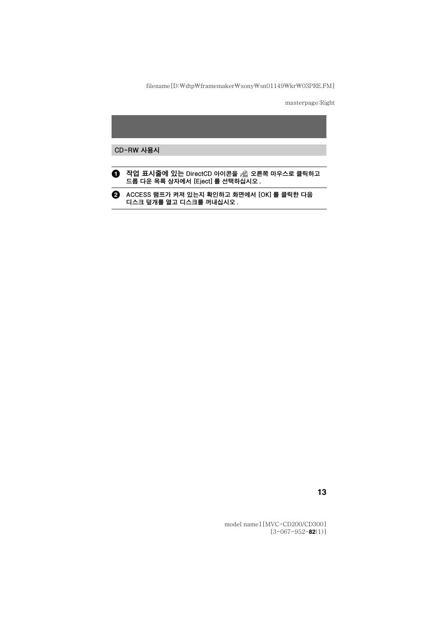#### <span id="page-12-0"></span>CD-RW 사용시



2 ACCESS 램프가 켜져 있는지 확인하고 화면에서 [OK] 를 클릭한 다음 디스크 덮개를 열고 디스크를 꺼내십시오.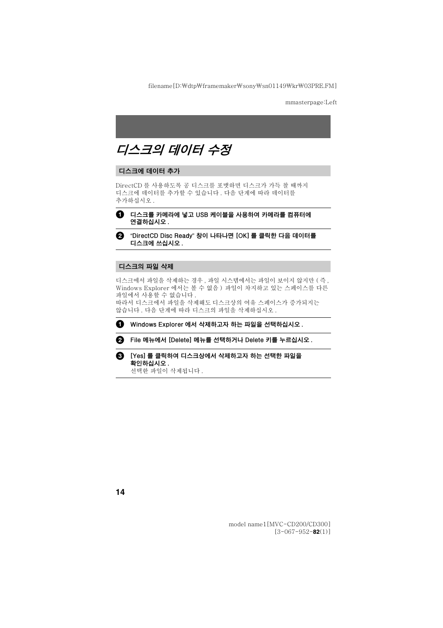## <span id="page-13-0"></span>디스크의 데이터 수정

#### <span id="page-13-1"></span>디스크에 데이터 추가

DirectCD 를 사용하도록 공 디스크를 포맷하면 디스크가 가득 찰 때까지 디스크에 데이터를 추가할 수 있습니다. 다음 단계에 따라 데이터를 추가하십시오.



 $\bigoplus$  디스크를 카메라에 넣고 USB 케이블을 사용하여 카메라를 컴퓨터에 연결하십시오.

❷ "DirectCD Disc Ready" 창이 나타나면 [OK] 를 클릭한 다음 데이터를 디스크에 쓰신시오

#### <span id="page-13-2"></span>디스크의 파일 삭제

디스크에서 파일을 삭제하는 경우, 파일 시스템에서는 파일이 보이지 않지만 (즉, Windows Explorer 에서는 볼 수 없음 ) 파일이 차지하고 있는 스페이스를 다른 파일에서 사용할 수 없습니다.

따라서 디스크에서 파일을 삭제해도 디스크상의 여유 스페이스가 증가되지는 않습니다. 다음 단계에 따라 디스크의 파일을 삭제하십시오.



A. File 메뉴에서 [Delete] 메뉴를 선택하거나 Delete 키를 누르십시오.



서택하 파일이 삭제됩니다.